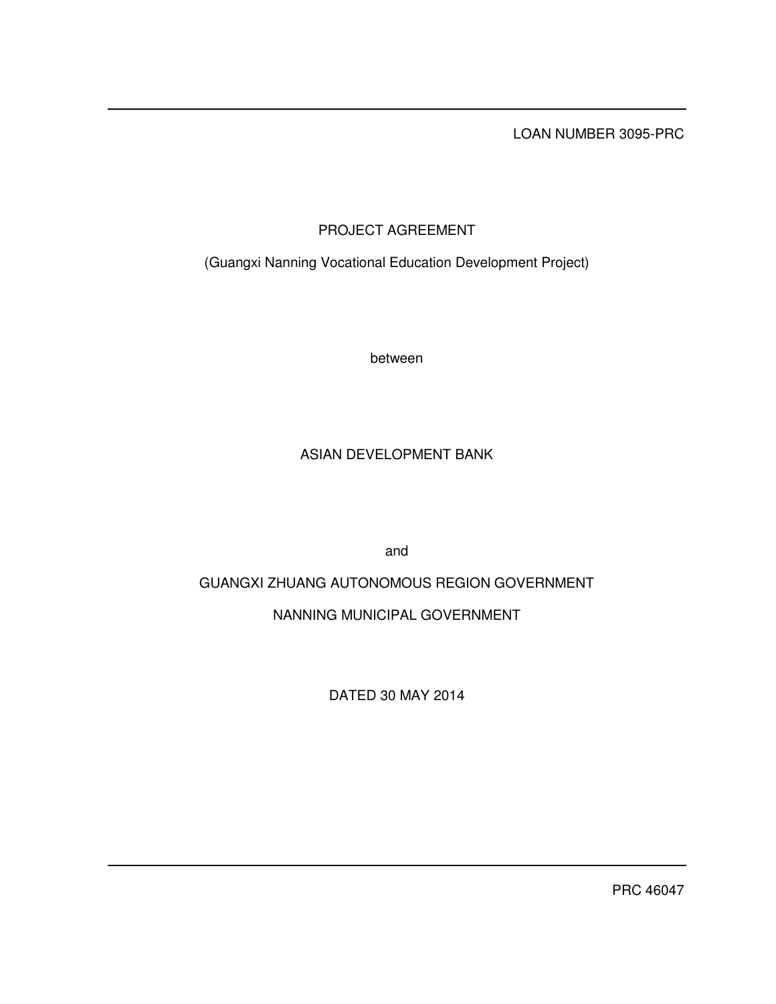LOAN NUMBER 3095-PRC

# PROJECT AGREEMENT

(Guangxi Nanning Vocational Education Development Project)

between

## ASIAN DEVELOPMENT BANK

and

# GUANGXI ZHUANG AUTONOMOUS REGION GOVERNMENT

## NANNING MUNICIPAL GOVERNMENT

DATED 30 MAY 2014

PRC 46047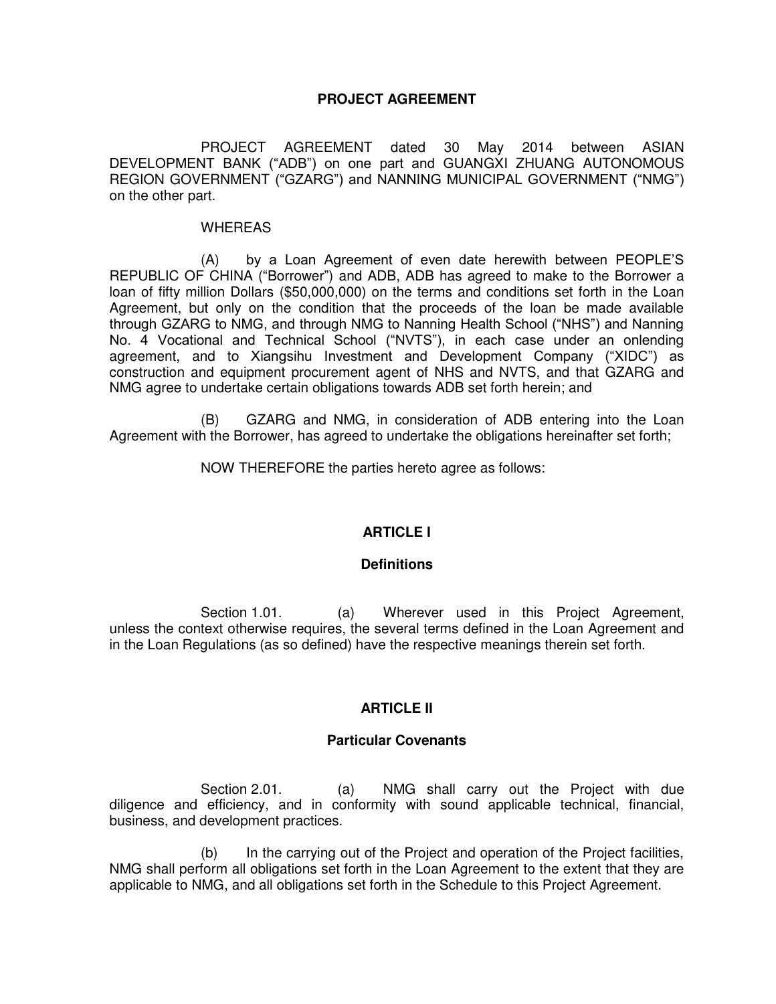## **PROJECT AGREEMENT**

 PROJECT AGREEMENT dated 30 May 2014 between ASIAN DEVELOPMENT BANK ("ADB") on one part and GUANGXI ZHUANG AUTONOMOUS REGION GOVERNMENT ("GZARG") and NANNING MUNICIPAL GOVERNMENT ("NMG") on the other part.

#### WHEREAS

 (A) by a Loan Agreement of even date herewith between PEOPLE'S REPUBLIC OF CHINA ("Borrower") and ADB, ADB has agreed to make to the Borrower a loan of fifty million Dollars (\$50,000,000) on the terms and conditions set forth in the Loan Agreement, but only on the condition that the proceeds of the loan be made available through GZARG to NMG, and through NMG to Nanning Health School ("NHS") and Nanning No. 4 Vocational and Technical School ("NVTS"), in each case under an onlending agreement, and to Xiangsihu Investment and Development Company ("XIDC") as construction and equipment procurement agent of NHS and NVTS, and that GZARG and NMG agree to undertake certain obligations towards ADB set forth herein; and

 (B) GZARG and NMG, in consideration of ADB entering into the Loan Agreement with the Borrower, has agreed to undertake the obligations hereinafter set forth;

NOW THEREFORE the parties hereto agree as follows:

## **ARTICLE I**

## **Definitions**

Section 1.01. (a) Wherever used in this Project Agreement, unless the context otherwise requires, the several terms defined in the Loan Agreement and in the Loan Regulations (as so defined) have the respective meanings therein set forth.

## **ARTICLE II**

## **Particular Covenants**

Section 2.01. (a) NMG shall carry out the Project with due diligence and efficiency, and in conformity with sound applicable technical, financial, business, and development practices.

 (b) In the carrying out of the Project and operation of the Project facilities, NMG shall perform all obligations set forth in the Loan Agreement to the extent that they are applicable to NMG, and all obligations set forth in the Schedule to this Project Agreement.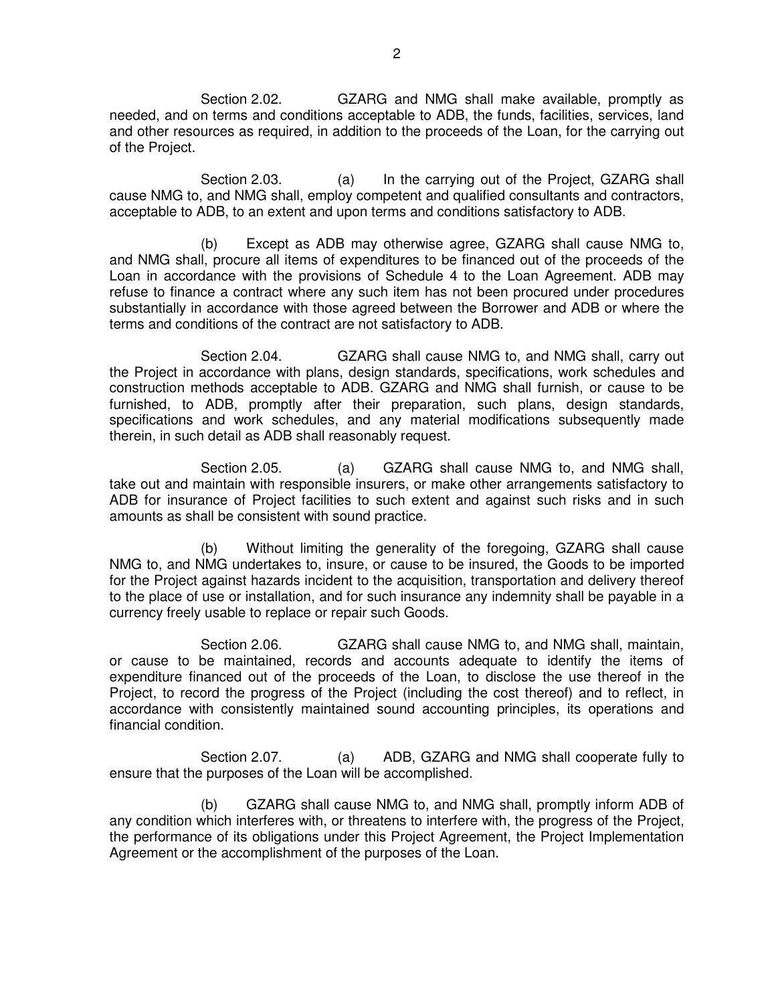Section 2.02. GZARG and NMG shall make available, promptly as needed, and on terms and conditions acceptable to ADB, the funds, facilities, services, land and other resources as required, in addition to the proceeds of the Loan, for the carrying out of the Project.

Section 2.03. (a) In the carrying out of the Project, GZARG shall cause NMG to, and NMG shall, employ competent and qualified consultants and contractors, acceptable to ADB, to an extent and upon terms and conditions satisfactory to ADB.

 (b) Except as ADB may otherwise agree, GZARG shall cause NMG to, and NMG shall, procure all items of expenditures to be financed out of the proceeds of the Loan in accordance with the provisions of Schedule 4 to the Loan Agreement. ADB may refuse to finance a contract where any such item has not been procured under procedures substantially in accordance with those agreed between the Borrower and ADB or where the terms and conditions of the contract are not satisfactory to ADB.

Section 2.04. GZARG shall cause NMG to, and NMG shall, carry out the Project in accordance with plans, design standards, specifications, work schedules and construction methods acceptable to ADB. GZARG and NMG shall furnish, or cause to be furnished, to ADB, promptly after their preparation, such plans, design standards, specifications and work schedules, and any material modifications subsequently made therein, in such detail as ADB shall reasonably request.

Section 2.05. (a) GZARG shall cause NMG to, and NMG shall, take out and maintain with responsible insurers, or make other arrangements satisfactory to ADB for insurance of Project facilities to such extent and against such risks and in such amounts as shall be consistent with sound practice.

 (b) Without limiting the generality of the foregoing, GZARG shall cause NMG to, and NMG undertakes to, insure, or cause to be insured, the Goods to be imported for the Project against hazards incident to the acquisition, transportation and delivery thereof to the place of use or installation, and for such insurance any indemnity shall be payable in a currency freely usable to replace or repair such Goods.

 Section 2.06. GZARG shall cause NMG to, and NMG shall, maintain, or cause to be maintained, records and accounts adequate to identify the items of expenditure financed out of the proceeds of the Loan, to disclose the use thereof in the Project, to record the progress of the Project (including the cost thereof) and to reflect, in accordance with consistently maintained sound accounting principles, its operations and financial condition.

Section 2.07. (a) ADB, GZARG and NMG shall cooperate fully to ensure that the purposes of the Loan will be accomplished.

 (b) GZARG shall cause NMG to, and NMG shall, promptly inform ADB of any condition which interferes with, or threatens to interfere with, the progress of the Project, the performance of its obligations under this Project Agreement, the Project Implementation Agreement or the accomplishment of the purposes of the Loan.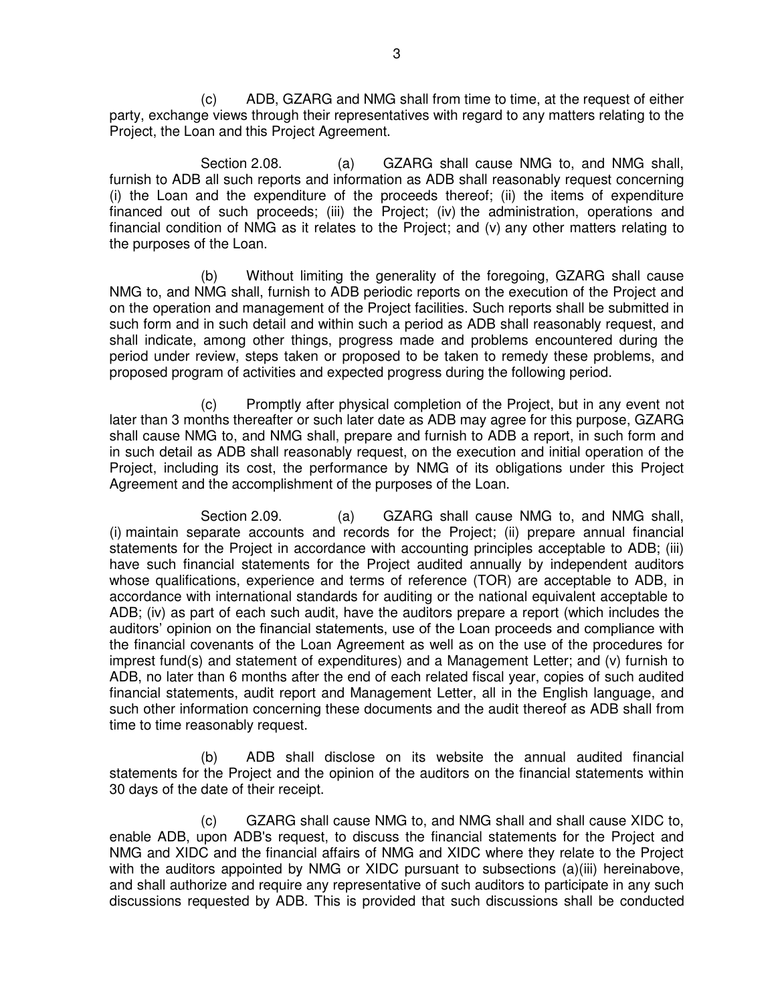(c) ADB, GZARG and NMG shall from time to time, at the request of either party, exchange views through their representatives with regard to any matters relating to the Project, the Loan and this Project Agreement.

Section 2.08. (a) GZARG shall cause NMG to, and NMG shall, furnish to ADB all such reports and information as ADB shall reasonably request concerning (i) the Loan and the expenditure of the proceeds thereof; (ii) the items of expenditure financed out of such proceeds; (iii) the Project; (iv) the administration, operations and financial condition of NMG as it relates to the Project; and (v) any other matters relating to the purposes of the Loan.

 (b) Without limiting the generality of the foregoing, GZARG shall cause NMG to, and NMG shall, furnish to ADB periodic reports on the execution of the Project and on the operation and management of the Project facilities. Such reports shall be submitted in such form and in such detail and within such a period as ADB shall reasonably request, and shall indicate, among other things, progress made and problems encountered during the period under review, steps taken or proposed to be taken to remedy these problems, and proposed program of activities and expected progress during the following period.

 (c) Promptly after physical completion of the Project, but in any event not later than 3 months thereafter or such later date as ADB may agree for this purpose, GZARG shall cause NMG to, and NMG shall, prepare and furnish to ADB a report, in such form and in such detail as ADB shall reasonably request, on the execution and initial operation of the Project, including its cost, the performance by NMG of its obligations under this Project Agreement and the accomplishment of the purposes of the Loan.

Section 2.09. (a) GZARG shall cause NMG to, and NMG shall, (i) maintain separate accounts and records for the Project; (ii) prepare annual financial statements for the Project in accordance with accounting principles acceptable to ADB; (iii) have such financial statements for the Project audited annually by independent auditors whose qualifications, experience and terms of reference (TOR) are acceptable to ADB, in accordance with international standards for auditing or the national equivalent acceptable to ADB; (iv) as part of each such audit, have the auditors prepare a report (which includes the auditors' opinion on the financial statements, use of the Loan proceeds and compliance with the financial covenants of the Loan Agreement as well as on the use of the procedures for imprest fund(s) and statement of expenditures) and a Management Letter; and (v) furnish to ADB, no later than 6 months after the end of each related fiscal year, copies of such audited financial statements, audit report and Management Letter, all in the English language, and such other information concerning these documents and the audit thereof as ADB shall from time to time reasonably request.

 (b) ADB shall disclose on its website the annual audited financial statements for the Project and the opinion of the auditors on the financial statements within 30 days of the date of their receipt.

 (c) GZARG shall cause NMG to, and NMG shall and shall cause XIDC to, enable ADB, upon ADB's request, to discuss the financial statements for the Project and NMG and XIDC and the financial affairs of NMG and XIDC where they relate to the Project with the auditors appointed by NMG or XIDC pursuant to subsections (a)(iii) hereinabove, and shall authorize and require any representative of such auditors to participate in any such discussions requested by ADB. This is provided that such discussions shall be conducted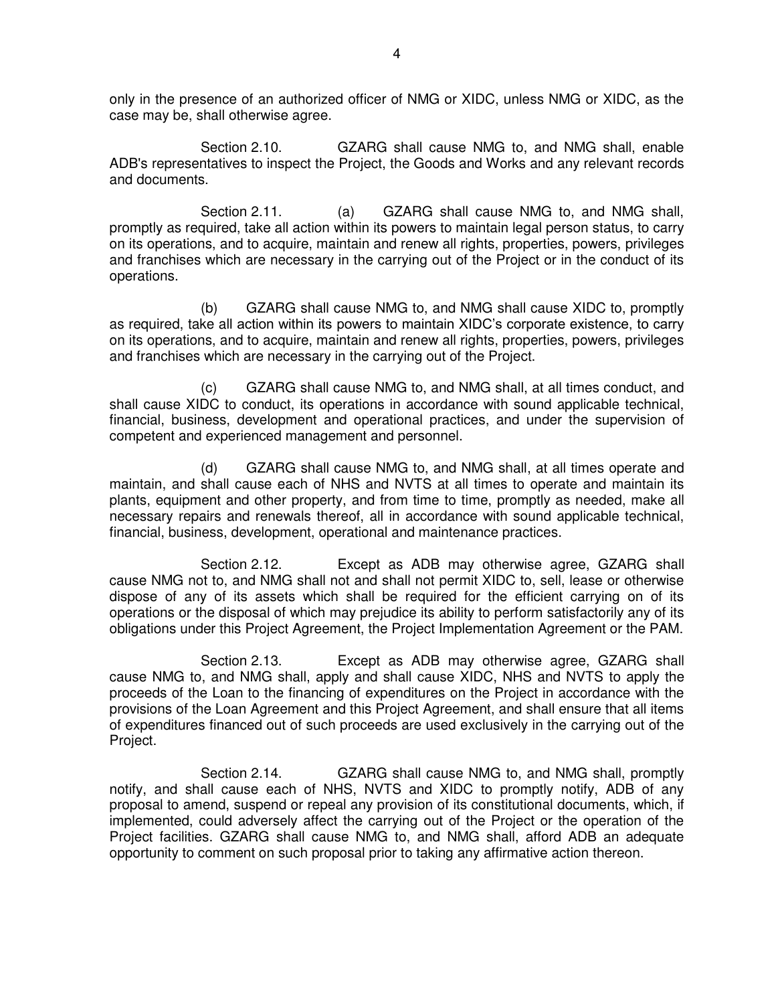only in the presence of an authorized officer of NMG or XIDC, unless NMG or XIDC, as the case may be, shall otherwise agree.

 Section 2.10. GZARG shall cause NMG to, and NMG shall, enable ADB's representatives to inspect the Project, the Goods and Works and any relevant records and documents.

Section 2.11. (a) GZARG shall cause NMG to, and NMG shall, promptly as required, take all action within its powers to maintain legal person status, to carry on its operations, and to acquire, maintain and renew all rights, properties, powers, privileges and franchises which are necessary in the carrying out of the Project or in the conduct of its operations.

(b) GZARG shall cause NMG to, and NMG shall cause XIDC to, promptly as required, take all action within its powers to maintain XIDC's corporate existence, to carry on its operations, and to acquire, maintain and renew all rights, properties, powers, privileges and franchises which are necessary in the carrying out of the Project.

 (c) GZARG shall cause NMG to, and NMG shall, at all times conduct, and shall cause XIDC to conduct, its operations in accordance with sound applicable technical, financial, business, development and operational practices, and under the supervision of competent and experienced management and personnel.

 (d) GZARG shall cause NMG to, and NMG shall, at all times operate and maintain, and shall cause each of NHS and NVTS at all times to operate and maintain its plants, equipment and other property, and from time to time, promptly as needed, make all necessary repairs and renewals thereof, all in accordance with sound applicable technical, financial, business, development, operational and maintenance practices.

 Section 2.12. Except as ADB may otherwise agree, GZARG shall cause NMG not to, and NMG shall not and shall not permit XIDC to, sell, lease or otherwise dispose of any of its assets which shall be required for the efficient carrying on of its operations or the disposal of which may prejudice its ability to perform satisfactorily any of its obligations under this Project Agreement, the Project Implementation Agreement or the PAM.

 Section 2.13. Except as ADB may otherwise agree, GZARG shall cause NMG to, and NMG shall, apply and shall cause XIDC, NHS and NVTS to apply the proceeds of the Loan to the financing of expenditures on the Project in accordance with the provisions of the Loan Agreement and this Project Agreement, and shall ensure that all items of expenditures financed out of such proceeds are used exclusively in the carrying out of the Project.

 Section 2.14. GZARG shall cause NMG to, and NMG shall, promptly notify, and shall cause each of NHS, NVTS and XIDC to promptly notify, ADB of any proposal to amend, suspend or repeal any provision of its constitutional documents, which, if implemented, could adversely affect the carrying out of the Project or the operation of the Project facilities. GZARG shall cause NMG to, and NMG shall, afford ADB an adequate opportunity to comment on such proposal prior to taking any affirmative action thereon.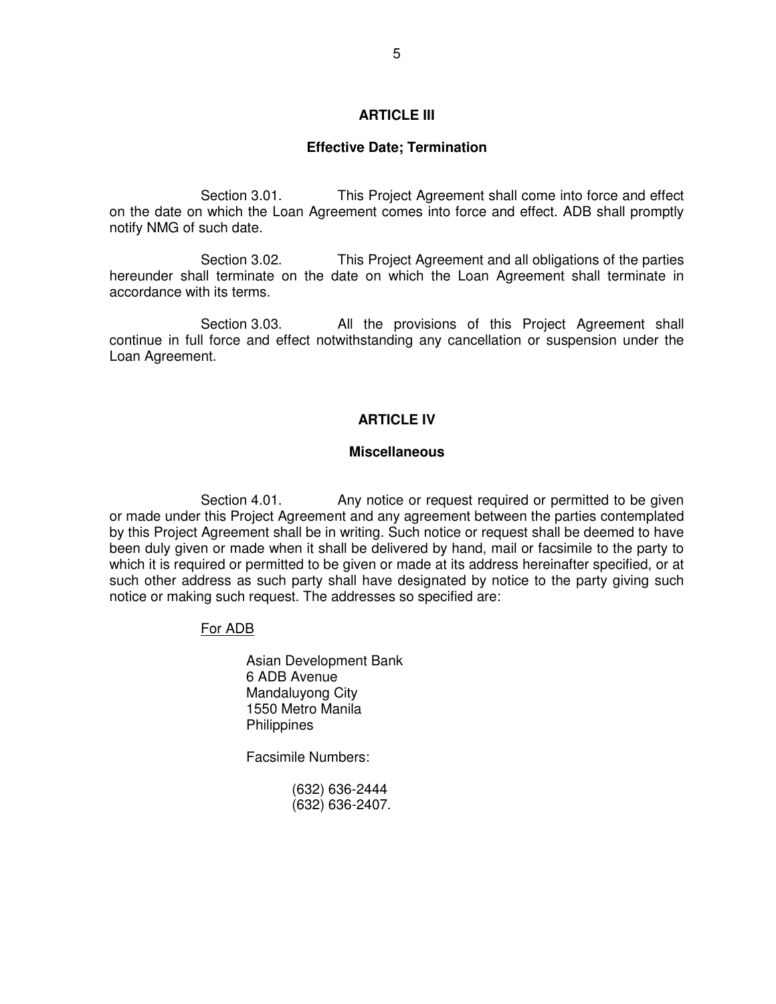## **ARTICLE III**

#### **Effective Date; Termination**

Section 3.01. This Project Agreement shall come into force and effect on the date on which the Loan Agreement comes into force and effect. ADB shall promptly notify NMG of such date.

Section 3.02. This Project Agreement and all obligations of the parties hereunder shall terminate on the date on which the Loan Agreement shall terminate in accordance with its terms.

Section 3.03. All the provisions of this Project Agreement shall continue in full force and effect notwithstanding any cancellation or suspension under the Loan Agreement.

## **ARTICLE IV**

#### **Miscellaneous**

Section 4.01. Any notice or request required or permitted to be given or made under this Project Agreement and any agreement between the parties contemplated by this Project Agreement shall be in writing. Such notice or request shall be deemed to have been duly given or made when it shall be delivered by hand, mail or facsimile to the party to which it is required or permitted to be given or made at its address hereinafter specified, or at such other address as such party shall have designated by notice to the party giving such notice or making such request. The addresses so specified are:

## For ADB

Asian Development Bank 6 ADB Avenue Mandaluyong City 1550 Metro Manila **Philippines** 

Facsimile Numbers:

 (632) 636-2444 (632) 636-2407.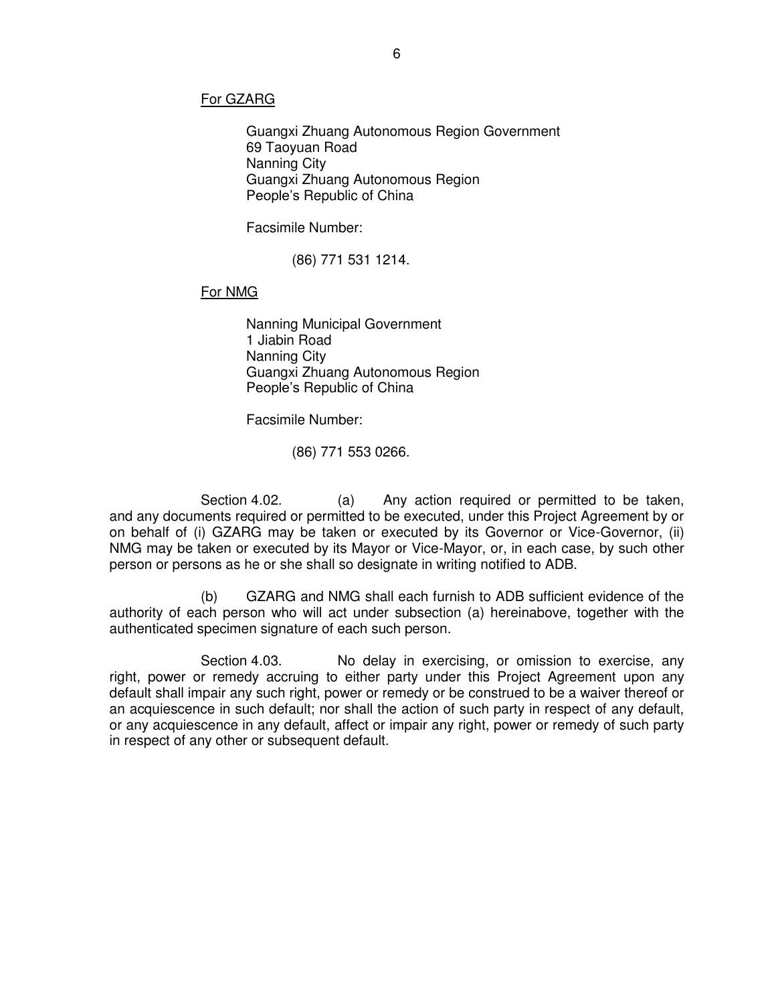#### For GZARG

Guangxi Zhuang Autonomous Region Government 69 Taoyuan Road Nanning City Guangxi Zhuang Autonomous Region People's Republic of China

Facsimile Number:

(86) 771 531 1214.

## For NMG

 Nanning Municipal Government 1 Jiabin Road Nanning City Guangxi Zhuang Autonomous Region People's Republic of China

Facsimile Number:

(86) 771 553 0266.

Section 4.02. (a) Any action required or permitted to be taken, and any documents required or permitted to be executed, under this Project Agreement by or on behalf of (i) GZARG may be taken or executed by its Governor or Vice-Governor, (ii) NMG may be taken or executed by its Mayor or Vice-Mayor, or, in each case, by such other person or persons as he or she shall so designate in writing notified to ADB.

 (b) GZARG and NMG shall each furnish to ADB sufficient evidence of the authority of each person who will act under subsection (a) hereinabove, together with the authenticated specimen signature of each such person.

Section 4.03. No delay in exercising, or omission to exercise, any right, power or remedy accruing to either party under this Project Agreement upon any default shall impair any such right, power or remedy or be construed to be a waiver thereof or an acquiescence in such default; nor shall the action of such party in respect of any default, or any acquiescence in any default, affect or impair any right, power or remedy of such party in respect of any other or subsequent default.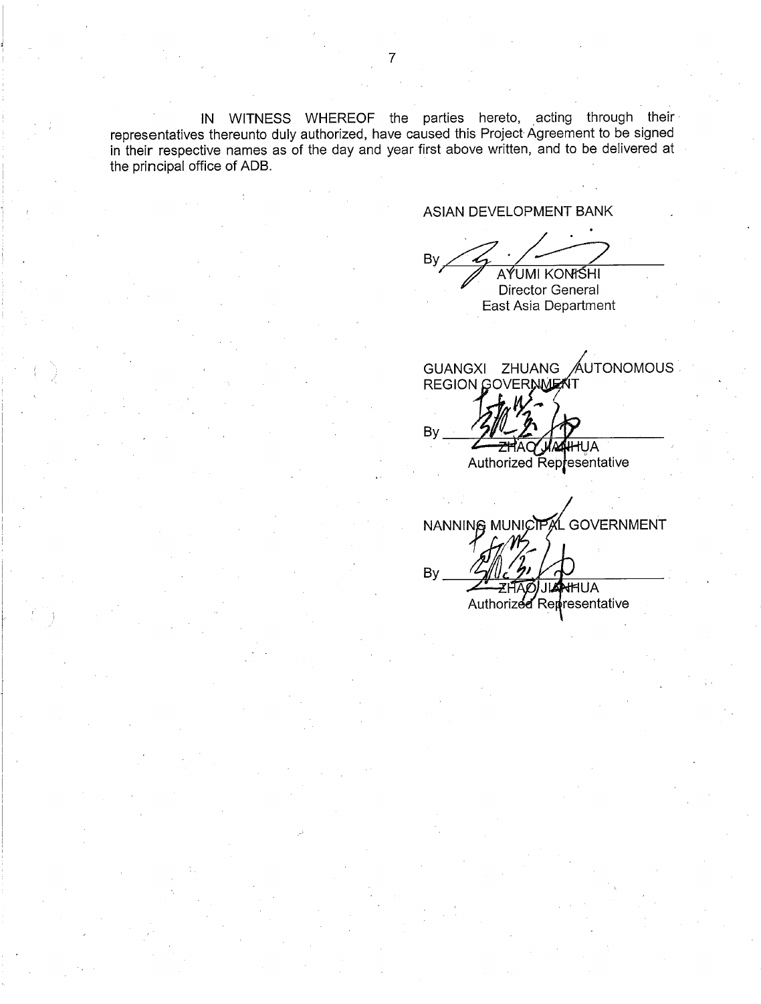IN WITNESS WHEREOF the parties hereto, acting through their representatives thereunto duly authorized, have caused this Project Agreement to be signed in their respective names as of the day and year first above written, and to be delivered at the principal office of ADB.

ASIAN DEVELOPMENT BANK

By AYUMI KONISHI

Director General East Asia Department

GUANGXI ZHUANG AUTONOMOUS REGION GOVERNMENT

By **IHIUA** Authorized Representative

NANNING MUNICIPAL GOVERNMENT  $By_$ **AHHUA** Authorized Representative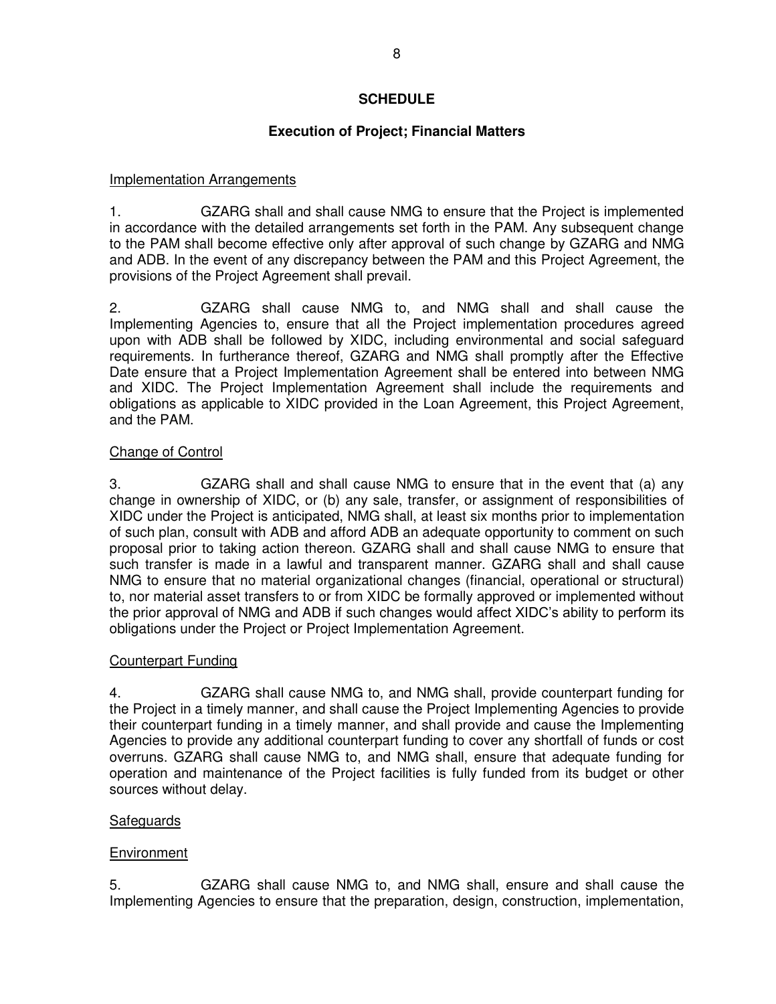## **SCHEDULE**

## **Execution of Project; Financial Matters**

## Implementation Arrangements

1. GZARG shall and shall cause NMG to ensure that the Project is implemented in accordance with the detailed arrangements set forth in the PAM. Any subsequent change to the PAM shall become effective only after approval of such change by GZARG and NMG and ADB. In the event of any discrepancy between the PAM and this Project Agreement, the provisions of the Project Agreement shall prevail.

2. GZARG shall cause NMG to, and NMG shall and shall cause the Implementing Agencies to, ensure that all the Project implementation procedures agreed upon with ADB shall be followed by XIDC, including environmental and social safeguard requirements. In furtherance thereof, GZARG and NMG shall promptly after the Effective Date ensure that a Project Implementation Agreement shall be entered into between NMG and XIDC. The Project Implementation Agreement shall include the requirements and obligations as applicable to XIDC provided in the Loan Agreement, this Project Agreement, and the PAM.

## Change of Control

3. GZARG shall and shall cause NMG to ensure that in the event that (a) any change in ownership of XIDC, or (b) any sale, transfer, or assignment of responsibilities of XIDC under the Project is anticipated, NMG shall, at least six months prior to implementation of such plan, consult with ADB and afford ADB an adequate opportunity to comment on such proposal prior to taking action thereon. GZARG shall and shall cause NMG to ensure that such transfer is made in a lawful and transparent manner. GZARG shall and shall cause NMG to ensure that no material organizational changes (financial, operational or structural) to, nor material asset transfers to or from XIDC be formally approved or implemented without the prior approval of NMG and ADB if such changes would affect XIDC's ability to perform its obligations under the Project or Project Implementation Agreement.

## Counterpart Funding

4. GZARG shall cause NMG to, and NMG shall, provide counterpart funding for the Project in a timely manner, and shall cause the Project Implementing Agencies to provide their counterpart funding in a timely manner, and shall provide and cause the Implementing Agencies to provide any additional counterpart funding to cover any shortfall of funds or cost overruns. GZARG shall cause NMG to, and NMG shall, ensure that adequate funding for operation and maintenance of the Project facilities is fully funded from its budget or other sources without delay.

## Safeguards

## **Environment**

5. GZARG shall cause NMG to, and NMG shall, ensure and shall cause the Implementing Agencies to ensure that the preparation, design, construction, implementation,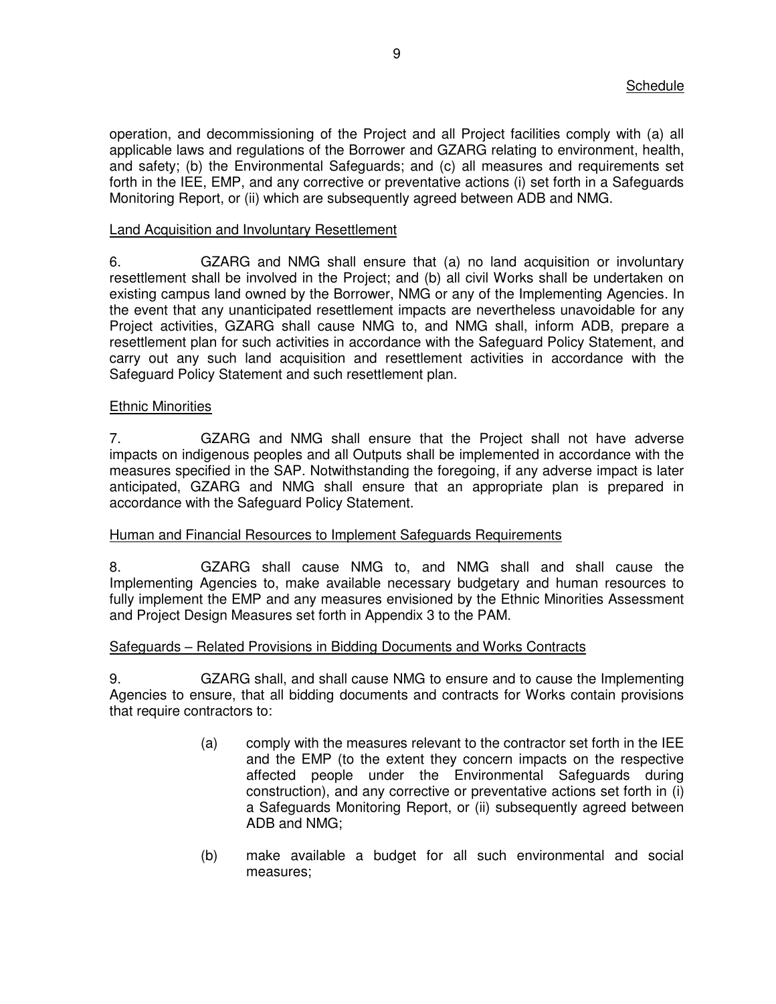operation, and decommissioning of the Project and all Project facilities comply with (a) all applicable laws and regulations of the Borrower and GZARG relating to environment, health, and safety; (b) the Environmental Safeguards; and (c) all measures and requirements set forth in the IEE, EMP, and any corrective or preventative actions (i) set forth in a Safeguards Monitoring Report, or (ii) which are subsequently agreed between ADB and NMG.

## Land Acquisition and Involuntary Resettlement

6. GZARG and NMG shall ensure that (a) no land acquisition or involuntary resettlement shall be involved in the Project; and (b) all civil Works shall be undertaken on existing campus land owned by the Borrower, NMG or any of the Implementing Agencies. In the event that any unanticipated resettlement impacts are nevertheless unavoidable for any Project activities, GZARG shall cause NMG to, and NMG shall, inform ADB, prepare a resettlement plan for such activities in accordance with the Safeguard Policy Statement, and carry out any such land acquisition and resettlement activities in accordance with the Safeguard Policy Statement and such resettlement plan.

## Ethnic Minorities

7. GZARG and NMG shall ensure that the Project shall not have adverse impacts on indigenous peoples and all Outputs shall be implemented in accordance with the measures specified in the SAP. Notwithstanding the foregoing, if any adverse impact is later anticipated, GZARG and NMG shall ensure that an appropriate plan is prepared in accordance with the Safeguard Policy Statement.

## Human and Financial Resources to Implement Safeguards Requirements

8. GZARG shall cause NMG to, and NMG shall and shall cause the Implementing Agencies to, make available necessary budgetary and human resources to fully implement the EMP and any measures envisioned by the Ethnic Minorities Assessment and Project Design Measures set forth in Appendix 3 to the PAM.

## Safeguards – Related Provisions in Bidding Documents and Works Contracts

9. GZARG shall, and shall cause NMG to ensure and to cause the Implementing Agencies to ensure, that all bidding documents and contracts for Works contain provisions that require contractors to:

- (a) comply with the measures relevant to the contractor set forth in the IEE and the EMP (to the extent they concern impacts on the respective affected people under the Environmental Safeguards during construction), and any corrective or preventative actions set forth in (i) a Safeguards Monitoring Report, or (ii) subsequently agreed between ADB and NMG;
- (b) make available a budget for all such environmental and social measures;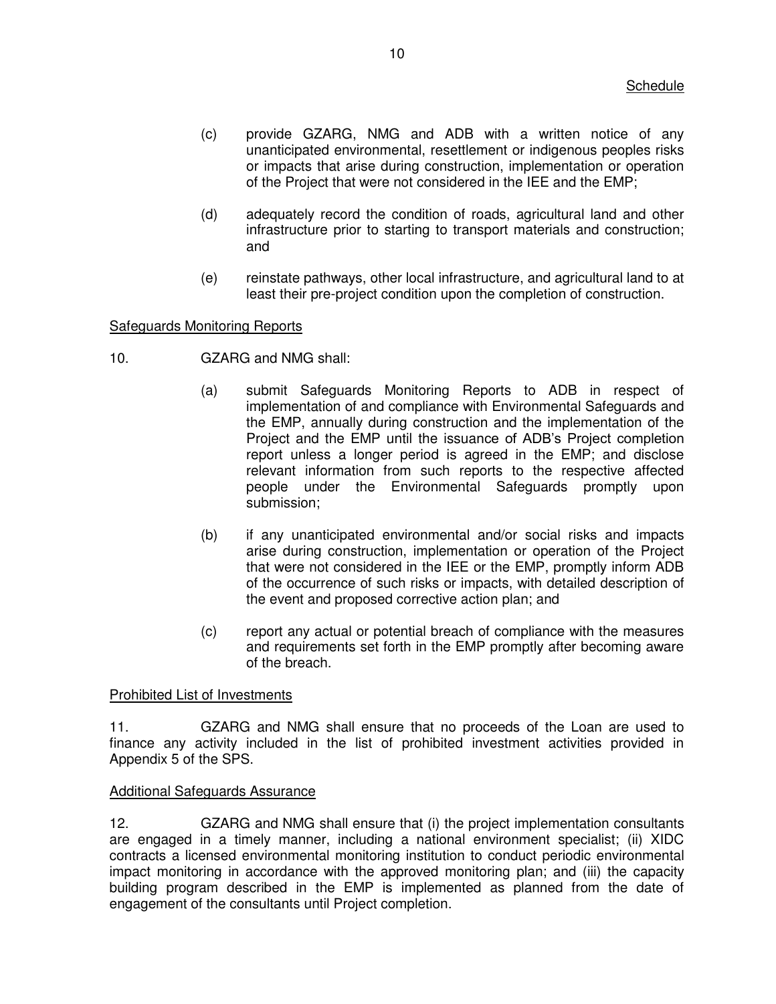- (c) provide GZARG, NMG and ADB with a written notice of any unanticipated environmental, resettlement or indigenous peoples risks or impacts that arise during construction, implementation or operation of the Project that were not considered in the IEE and the EMP;
- (d) adequately record the condition of roads, agricultural land and other infrastructure prior to starting to transport materials and construction; and
- (e) reinstate pathways, other local infrastructure, and agricultural land to at least their pre-project condition upon the completion of construction.

## Safeguards Monitoring Reports

- 10. GZARG and NMG shall:
	- (a) submit Safeguards Monitoring Reports to ADB in respect of implementation of and compliance with Environmental Safeguards and the EMP, annually during construction and the implementation of the Project and the EMP until the issuance of ADB's Project completion report unless a longer period is agreed in the EMP; and disclose relevant information from such reports to the respective affected people under the Environmental Safeguards promptly upon submission;
	- (b) if any unanticipated environmental and/or social risks and impacts arise during construction, implementation or operation of the Project that were not considered in the IEE or the EMP, promptly inform ADB of the occurrence of such risks or impacts, with detailed description of the event and proposed corrective action plan; and
	- (c) report any actual or potential breach of compliance with the measures and requirements set forth in the EMP promptly after becoming aware of the breach.

## Prohibited List of Investments

11. GZARG and NMG shall ensure that no proceeds of the Loan are used to finance any activity included in the list of prohibited investment activities provided in Appendix 5 of the SPS.

## Additional Safeguards Assurance

12. GZARG and NMG shall ensure that (i) the project implementation consultants are engaged in a timely manner, including a national environment specialist; (ii) XIDC contracts a licensed environmental monitoring institution to conduct periodic environmental impact monitoring in accordance with the approved monitoring plan; and (iii) the capacity building program described in the EMP is implemented as planned from the date of engagement of the consultants until Project completion.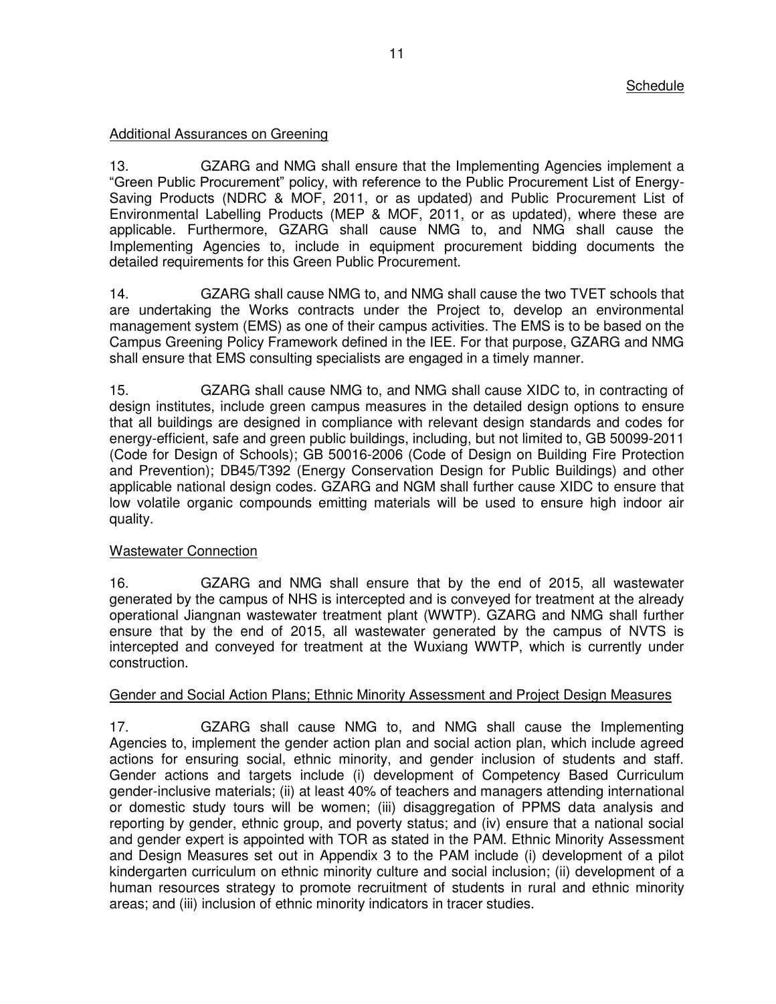## Additional Assurances on Greening

13. GZARG and NMG shall ensure that the Implementing Agencies implement a "Green Public Procurement" policy, with reference to the Public Procurement List of Energy-Saving Products (NDRC & MOF, 2011, or as updated) and Public Procurement List of Environmental Labelling Products (MEP & MOF, 2011, or as updated), where these are applicable. Furthermore, GZARG shall cause NMG to, and NMG shall cause the Implementing Agencies to, include in equipment procurement bidding documents the detailed requirements for this Green Public Procurement.

14. GZARG shall cause NMG to, and NMG shall cause the two TVET schools that are undertaking the Works contracts under the Project to, develop an environmental management system (EMS) as one of their campus activities. The EMS is to be based on the Campus Greening Policy Framework defined in the IEE. For that purpose, GZARG and NMG shall ensure that EMS consulting specialists are engaged in a timely manner.

15. GZARG shall cause NMG to, and NMG shall cause XIDC to, in contracting of design institutes, include green campus measures in the detailed design options to ensure that all buildings are designed in compliance with relevant design standards and codes for energy-efficient, safe and green public buildings, including, but not limited to, GB 50099-2011 (Code for Design of Schools); GB 50016-2006 (Code of Design on Building Fire Protection and Prevention); DB45/T392 (Energy Conservation Design for Public Buildings) and other applicable national design codes. GZARG and NGM shall further cause XIDC to ensure that low volatile organic compounds emitting materials will be used to ensure high indoor air quality.

## Wastewater Connection

16. GZARG and NMG shall ensure that by the end of 2015, all wastewater generated by the campus of NHS is intercepted and is conveyed for treatment at the already operational Jiangnan wastewater treatment plant (WWTP). GZARG and NMG shall further ensure that by the end of 2015, all wastewater generated by the campus of NVTS is intercepted and conveyed for treatment at the Wuxiang WWTP, which is currently under construction.

## Gender and Social Action Plans; Ethnic Minority Assessment and Project Design Measures

17. GZARG shall cause NMG to, and NMG shall cause the Implementing Agencies to, implement the gender action plan and social action plan, which include agreed actions for ensuring social, ethnic minority, and gender inclusion of students and staff. Gender actions and targets include (i) development of Competency Based Curriculum gender-inclusive materials; (ii) at least 40% of teachers and managers attending international or domestic study tours will be women; (iii) disaggregation of PPMS data analysis and reporting by gender, ethnic group, and poverty status; and (iv) ensure that a national social and gender expert is appointed with TOR as stated in the PAM. Ethnic Minority Assessment and Design Measures set out in Appendix 3 to the PAM include (i) development of a pilot kindergarten curriculum on ethnic minority culture and social inclusion; (ii) development of a human resources strategy to promote recruitment of students in rural and ethnic minority areas; and (iii) inclusion of ethnic minority indicators in tracer studies.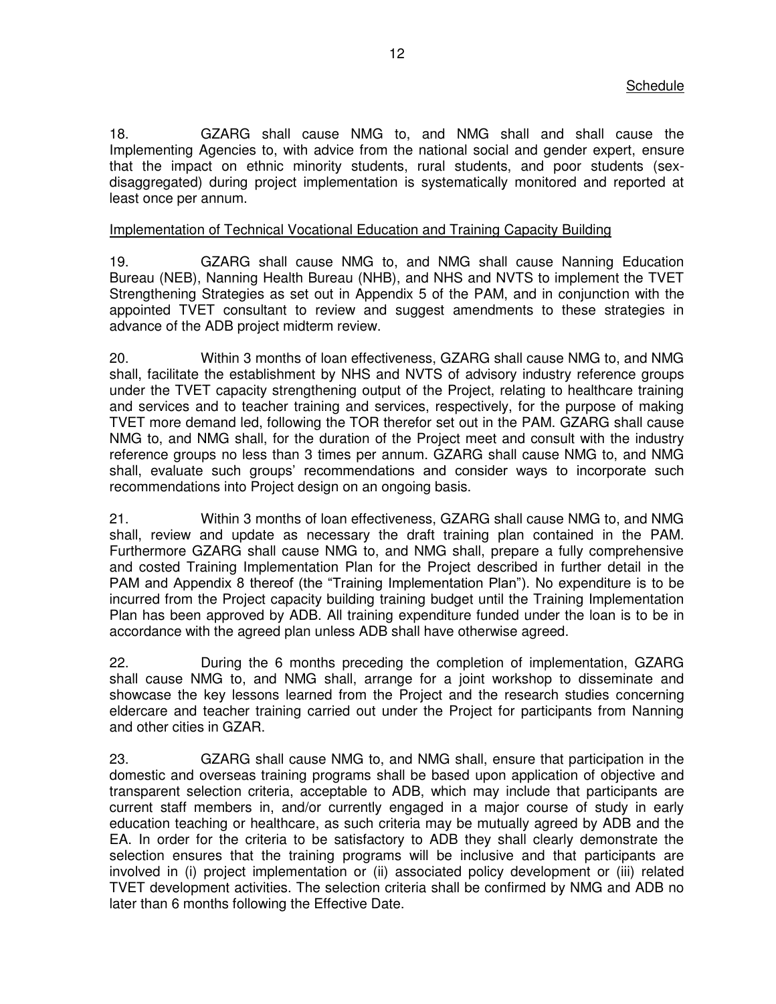18. GZARG shall cause NMG to, and NMG shall and shall cause the Implementing Agencies to, with advice from the national social and gender expert, ensure that the impact on ethnic minority students, rural students, and poor students (sexdisaggregated) during project implementation is systematically monitored and reported at least once per annum.

## Implementation of Technical Vocational Education and Training Capacity Building

19. GZARG shall cause NMG to, and NMG shall cause Nanning Education Bureau (NEB), Nanning Health Bureau (NHB), and NHS and NVTS to implement the TVET Strengthening Strategies as set out in Appendix 5 of the PAM, and in conjunction with the appointed TVET consultant to review and suggest amendments to these strategies in advance of the ADB project midterm review.

20. Within 3 months of loan effectiveness, GZARG shall cause NMG to, and NMG shall, facilitate the establishment by NHS and NVTS of advisory industry reference groups under the TVET capacity strengthening output of the Project, relating to healthcare training and services and to teacher training and services, respectively, for the purpose of making TVET more demand led, following the TOR therefor set out in the PAM. GZARG shall cause NMG to, and NMG shall, for the duration of the Project meet and consult with the industry reference groups no less than 3 times per annum. GZARG shall cause NMG to, and NMG shall, evaluate such groups' recommendations and consider ways to incorporate such recommendations into Project design on an ongoing basis.

21. Within 3 months of loan effectiveness, GZARG shall cause NMG to, and NMG shall, review and update as necessary the draft training plan contained in the PAM. Furthermore GZARG shall cause NMG to, and NMG shall, prepare a fully comprehensive and costed Training Implementation Plan for the Project described in further detail in the PAM and Appendix 8 thereof (the "Training Implementation Plan"). No expenditure is to be incurred from the Project capacity building training budget until the Training Implementation Plan has been approved by ADB. All training expenditure funded under the loan is to be in accordance with the agreed plan unless ADB shall have otherwise agreed.

22. During the 6 months preceding the completion of implementation, GZARG shall cause NMG to, and NMG shall, arrange for a joint workshop to disseminate and showcase the key lessons learned from the Project and the research studies concerning eldercare and teacher training carried out under the Project for participants from Nanning and other cities in GZAR.

23. GZARG shall cause NMG to, and NMG shall, ensure that participation in the domestic and overseas training programs shall be based upon application of objective and transparent selection criteria, acceptable to ADB, which may include that participants are current staff members in, and/or currently engaged in a major course of study in early education teaching or healthcare, as such criteria may be mutually agreed by ADB and the EA. In order for the criteria to be satisfactory to ADB they shall clearly demonstrate the selection ensures that the training programs will be inclusive and that participants are involved in (i) project implementation or (ii) associated policy development or (iii) related TVET development activities. The selection criteria shall be confirmed by NMG and ADB no later than 6 months following the Effective Date.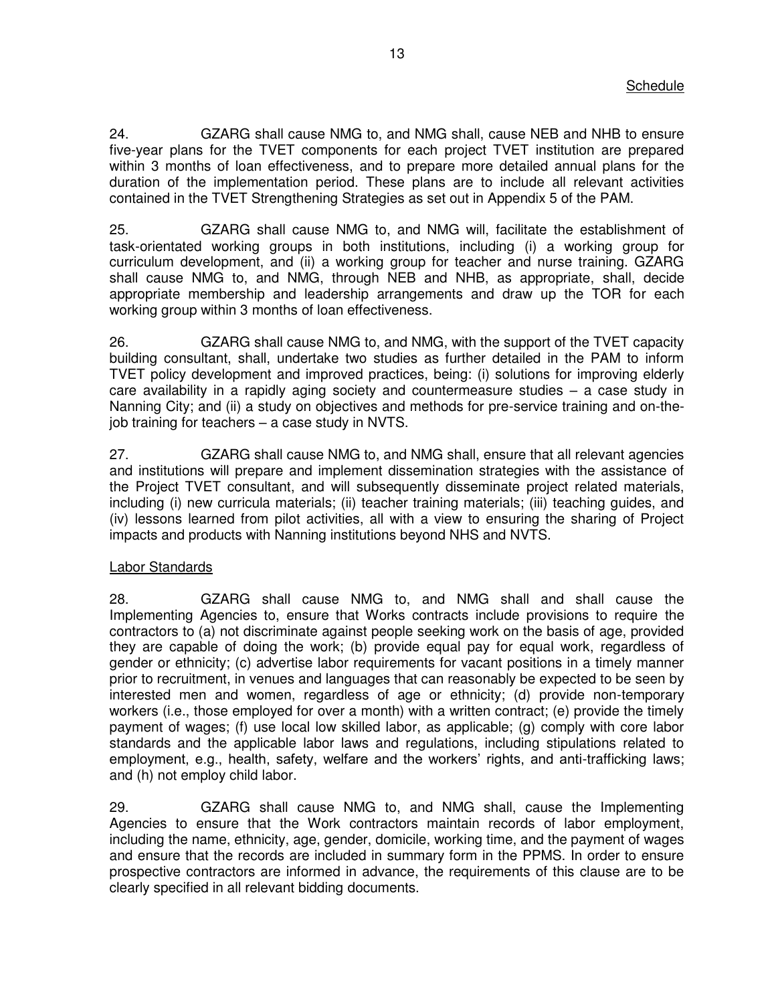24. GZARG shall cause NMG to, and NMG shall, cause NEB and NHB to ensure five-year plans for the TVET components for each project TVET institution are prepared within 3 months of loan effectiveness, and to prepare more detailed annual plans for the duration of the implementation period. These plans are to include all relevant activities contained in the TVET Strengthening Strategies as set out in Appendix 5 of the PAM.

25. GZARG shall cause NMG to, and NMG will, facilitate the establishment of task-orientated working groups in both institutions, including (i) a working group for curriculum development, and (ii) a working group for teacher and nurse training. GZARG shall cause NMG to, and NMG, through NEB and NHB, as appropriate, shall, decide appropriate membership and leadership arrangements and draw up the TOR for each working group within 3 months of loan effectiveness.

26. GZARG shall cause NMG to, and NMG, with the support of the TVET capacity building consultant, shall, undertake two studies as further detailed in the PAM to inform TVET policy development and improved practices, being: (i) solutions for improving elderly care availability in a rapidly aging society and countermeasure studies – a case study in Nanning City; and (ii) a study on objectives and methods for pre-service training and on-thejob training for teachers – a case study in NVTS.

27. GZARG shall cause NMG to, and NMG shall, ensure that all relevant agencies and institutions will prepare and implement dissemination strategies with the assistance of the Project TVET consultant, and will subsequently disseminate project related materials, including (i) new curricula materials; (ii) teacher training materials; (iii) teaching guides, and (iv) lessons learned from pilot activities, all with a view to ensuring the sharing of Project impacts and products with Nanning institutions beyond NHS and NVTS.

## Labor Standards

28. GZARG shall cause NMG to, and NMG shall and shall cause the Implementing Agencies to, ensure that Works contracts include provisions to require the contractors to (a) not discriminate against people seeking work on the basis of age, provided they are capable of doing the work; (b) provide equal pay for equal work, regardless of gender or ethnicity; (c) advertise labor requirements for vacant positions in a timely manner prior to recruitment, in venues and languages that can reasonably be expected to be seen by interested men and women, regardless of age or ethnicity; (d) provide non-temporary workers (i.e., those employed for over a month) with a written contract; (e) provide the timely payment of wages; (f) use local low skilled labor, as applicable; (g) comply with core labor standards and the applicable labor laws and regulations, including stipulations related to employment, e.g., health, safety, welfare and the workers' rights, and anti-trafficking laws; and (h) not employ child labor.

29. GZARG shall cause NMG to, and NMG shall, cause the Implementing Agencies to ensure that the Work contractors maintain records of labor employment, including the name, ethnicity, age, gender, domicile, working time, and the payment of wages and ensure that the records are included in summary form in the PPMS. In order to ensure prospective contractors are informed in advance, the requirements of this clause are to be clearly specified in all relevant bidding documents.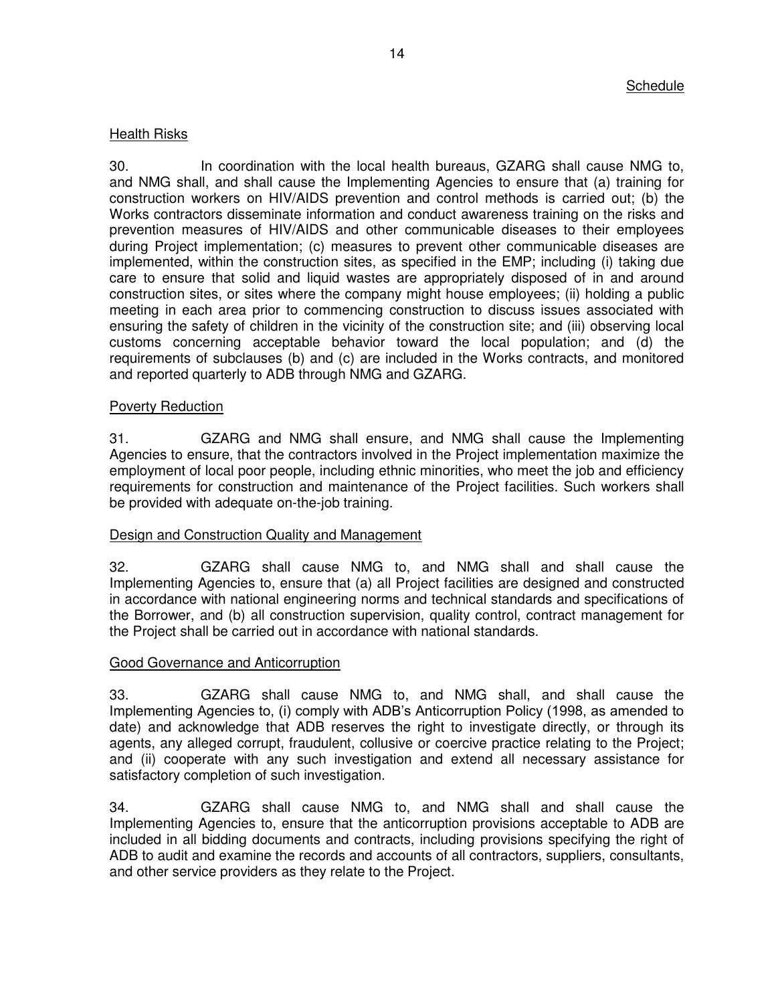## Health Risks

30. In coordination with the local health bureaus, GZARG shall cause NMG to, and NMG shall, and shall cause the Implementing Agencies to ensure that (a) training for construction workers on HIV/AIDS prevention and control methods is carried out; (b) the Works contractors disseminate information and conduct awareness training on the risks and prevention measures of HIV/AIDS and other communicable diseases to their employees during Project implementation; (c) measures to prevent other communicable diseases are implemented, within the construction sites, as specified in the EMP; including (i) taking due care to ensure that solid and liquid wastes are appropriately disposed of in and around construction sites, or sites where the company might house employees; (ii) holding a public meeting in each area prior to commencing construction to discuss issues associated with ensuring the safety of children in the vicinity of the construction site; and (iii) observing local customs concerning acceptable behavior toward the local population; and (d) the requirements of subclauses (b) and (c) are included in the Works contracts, and monitored and reported quarterly to ADB through NMG and GZARG.

## Poverty Reduction

31. GZARG and NMG shall ensure, and NMG shall cause the Implementing Agencies to ensure, that the contractors involved in the Project implementation maximize the employment of local poor people, including ethnic minorities, who meet the job and efficiency requirements for construction and maintenance of the Project facilities. Such workers shall be provided with adequate on-the-job training.

## Design and Construction Quality and Management

32. GZARG shall cause NMG to, and NMG shall and shall cause the Implementing Agencies to, ensure that (a) all Project facilities are designed and constructed in accordance with national engineering norms and technical standards and specifications of the Borrower, and (b) all construction supervision, quality control, contract management for the Project shall be carried out in accordance with national standards.

## Good Governance and Anticorruption

33. GZARG shall cause NMG to, and NMG shall, and shall cause the Implementing Agencies to, (i) comply with ADB's Anticorruption Policy (1998, as amended to date) and acknowledge that ADB reserves the right to investigate directly, or through its agents, any alleged corrupt, fraudulent, collusive or coercive practice relating to the Project; and (ii) cooperate with any such investigation and extend all necessary assistance for satisfactory completion of such investigation.

34. GZARG shall cause NMG to, and NMG shall and shall cause the Implementing Agencies to, ensure that the anticorruption provisions acceptable to ADB are included in all bidding documents and contracts, including provisions specifying the right of ADB to audit and examine the records and accounts of all contractors, suppliers, consultants, and other service providers as they relate to the Project.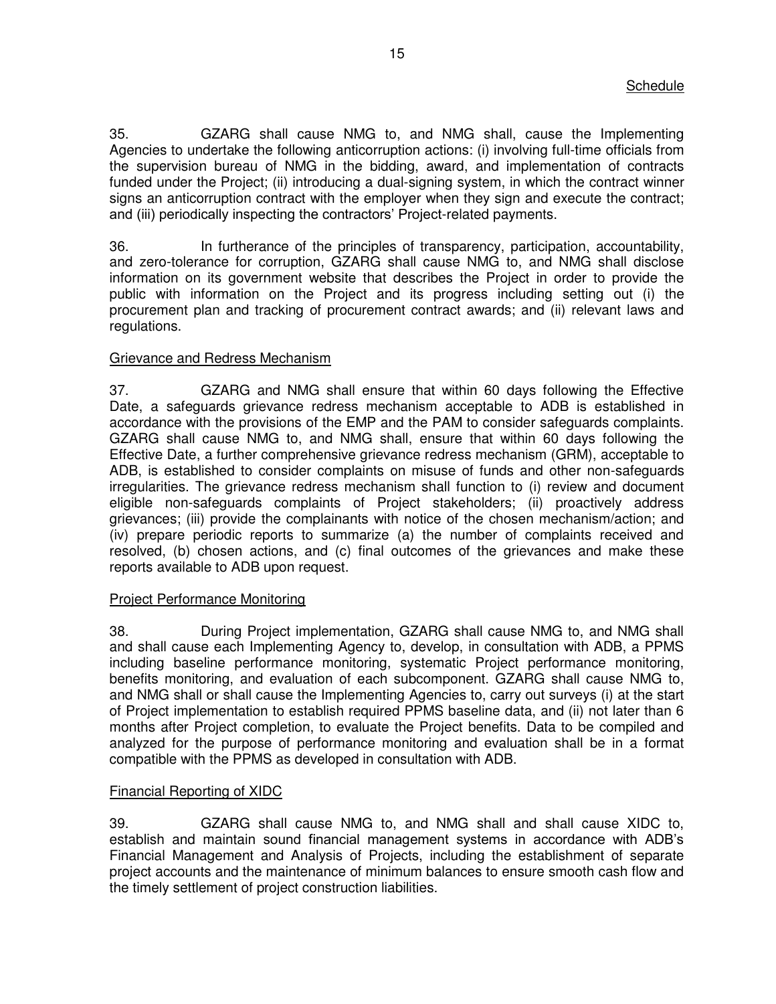35. GZARG shall cause NMG to, and NMG shall, cause the Implementing Agencies to undertake the following anticorruption actions: (i) involving full-time officials from the supervision bureau of NMG in the bidding, award, and implementation of contracts funded under the Project; (ii) introducing a dual-signing system, in which the contract winner signs an anticorruption contract with the employer when they sign and execute the contract; and (iii) periodically inspecting the contractors' Project-related payments.

36. In furtherance of the principles of transparency, participation, accountability, and zero-tolerance for corruption, GZARG shall cause NMG to, and NMG shall disclose information on its government website that describes the Project in order to provide the public with information on the Project and its progress including setting out (i) the procurement plan and tracking of procurement contract awards; and (ii) relevant laws and regulations.

## Grievance and Redress Mechanism

37. GZARG and NMG shall ensure that within 60 days following the Effective Date, a safeguards grievance redress mechanism acceptable to ADB is established in accordance with the provisions of the EMP and the PAM to consider safeguards complaints. GZARG shall cause NMG to, and NMG shall, ensure that within 60 days following the Effective Date, a further comprehensive grievance redress mechanism (GRM), acceptable to ADB, is established to consider complaints on misuse of funds and other non-safeguards irregularities. The grievance redress mechanism shall function to (i) review and document eligible non-safeguards complaints of Project stakeholders; (ii) proactively address grievances; (iii) provide the complainants with notice of the chosen mechanism/action; and (iv) prepare periodic reports to summarize (a) the number of complaints received and resolved, (b) chosen actions, and (c) final outcomes of the grievances and make these reports available to ADB upon request.

## Project Performance Monitoring

38. During Project implementation, GZARG shall cause NMG to, and NMG shall and shall cause each Implementing Agency to, develop, in consultation with ADB, a PPMS including baseline performance monitoring, systematic Project performance monitoring, benefits monitoring, and evaluation of each subcomponent. GZARG shall cause NMG to, and NMG shall or shall cause the Implementing Agencies to, carry out surveys (i) at the start of Project implementation to establish required PPMS baseline data, and (ii) not later than 6 months after Project completion, to evaluate the Project benefits. Data to be compiled and analyzed for the purpose of performance monitoring and evaluation shall be in a format compatible with the PPMS as developed in consultation with ADB.

## Financial Reporting of XIDC

39. GZARG shall cause NMG to, and NMG shall and shall cause XIDC to, establish and maintain sound financial management systems in accordance with ADB's Financial Management and Analysis of Projects, including the establishment of separate project accounts and the maintenance of minimum balances to ensure smooth cash flow and the timely settlement of project construction liabilities.